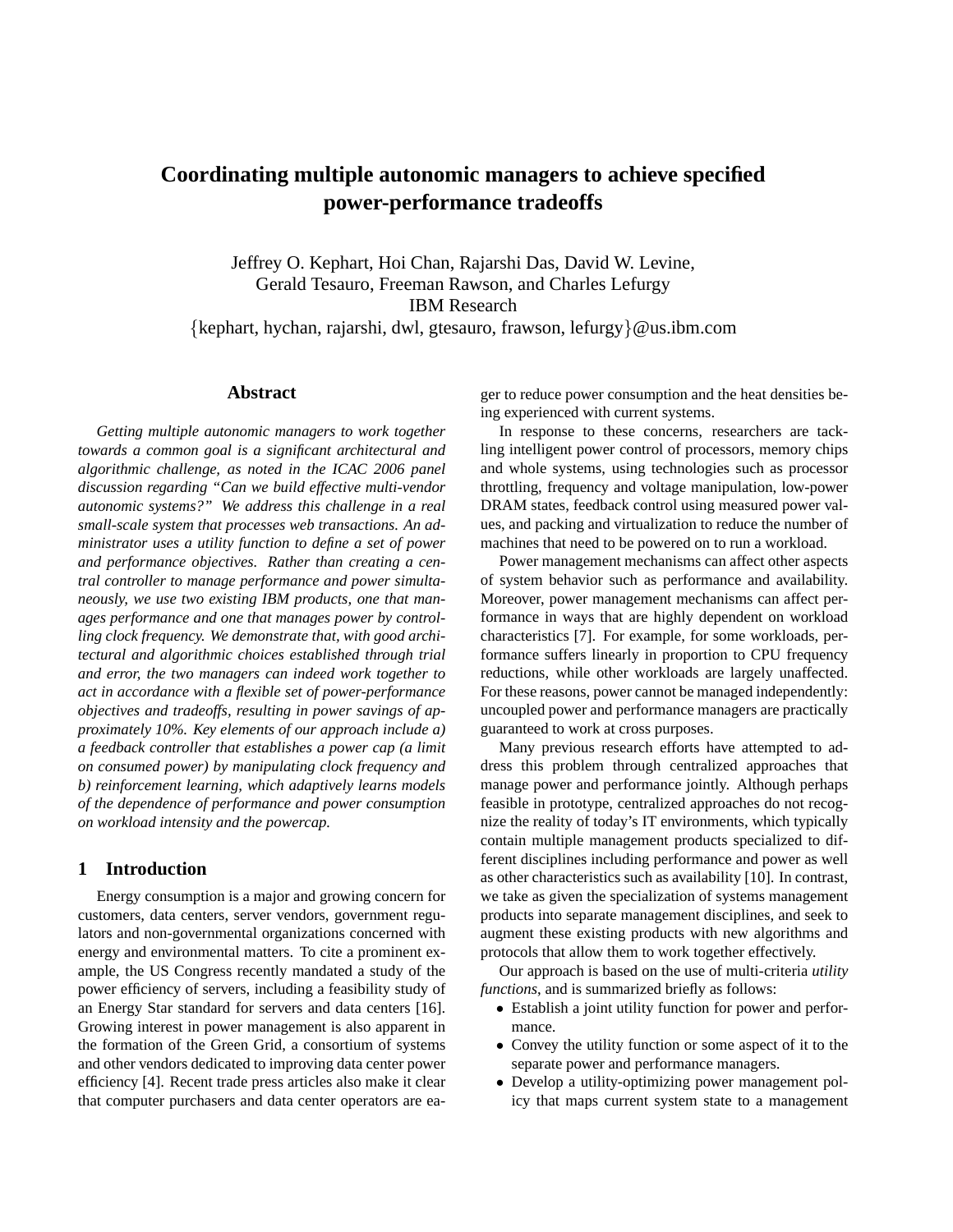# **Coordinating multiple autonomic managers to achieve specified power-performance tradeoffs**

Jeffrey O. Kephart, Hoi Chan, Rajarshi Das, David W. Levine, Gerald Tesauro, Freeman Rawson, and Charles Lefurgy IBM Research {kephart, hychan, rajarshi, dwl, gtesauro, frawson, lefurgy}@us.ibm.com

## **Abstract**

*Getting multiple autonomic managers to work together towards a common goal is a significant architectural and algorithmic challenge, as noted in the ICAC 2006 panel discussion regarding "Can we build effective multi-vendor autonomic systems?" We address this challenge in a real small-scale system that processes web transactions. An administrator uses a utility function to define a set of power and performance objectives. Rather than creating a central controller to manage performance and power simultaneously, we use two existing IBM products, one that manages performance and one that manages power by controlling clock frequency. We demonstrate that, with good architectural and algorithmic choices established through trial and error, the two managers can indeed work together to act in accordance with a flexible set of power-performance objectives and tradeoffs, resulting in power savings of approximately 10%. Key elements of our approach include a) a feedback controller that establishes a power cap (a limit on consumed power) by manipulating clock frequency and b) reinforcement learning, which adaptively learns models of the dependence of performance and power consumption on workload intensity and the powercap.*

## **1 Introduction**

Energy consumption is a major and growing concern for customers, data centers, server vendors, government regulators and non-governmental organizations concerned with energy and environmental matters. To cite a prominent example, the US Congress recently mandated a study of the power efficiency of servers, including a feasibility study of an Energy Star standard for servers and data centers [16]. Growing interest in power management is also apparent in the formation of the Green Grid, a consortium of systems and other vendors dedicated to improving data center power efficiency [4]. Recent trade press articles also make it clear that computer purchasers and data center operators are eager to reduce power consumption and the heat densities being experienced with current systems.

In response to these concerns, researchers are tackling intelligent power control of processors, memory chips and whole systems, using technologies such as processor throttling, frequency and voltage manipulation, low-power DRAM states, feedback control using measured power values, and packing and virtualization to reduce the number of machines that need to be powered on to run a workload.

Power management mechanisms can affect other aspects of system behavior such as performance and availability. Moreover, power management mechanisms can affect performance in ways that are highly dependent on workload characteristics [7]. For example, for some workloads, performance suffers linearly in proportion to CPU frequency reductions, while other workloads are largely unaffected. For these reasons, power cannot be managed independently: uncoupled power and performance managers are practically guaranteed to work at cross purposes.

Many previous research efforts have attempted to address this problem through centralized approaches that manage power and performance jointly. Although perhaps feasible in prototype, centralized approaches do not recognize the reality of today's IT environments, which typically contain multiple management products specialized to different disciplines including performance and power as well as other characteristics such as availability [10]. In contrast, we take as given the specialization of systems management products into separate management disciplines, and seek to augment these existing products with new algorithms and protocols that allow them to work together effectively.

Our approach is based on the use of multi-criteria *utility functions*, and is summarized briefly as follows:

- Establish a joint utility function for power and performance.
- Convey the utility function or some aspect of it to the separate power and performance managers.
- Develop a utility-optimizing power management policy that maps current system state to a management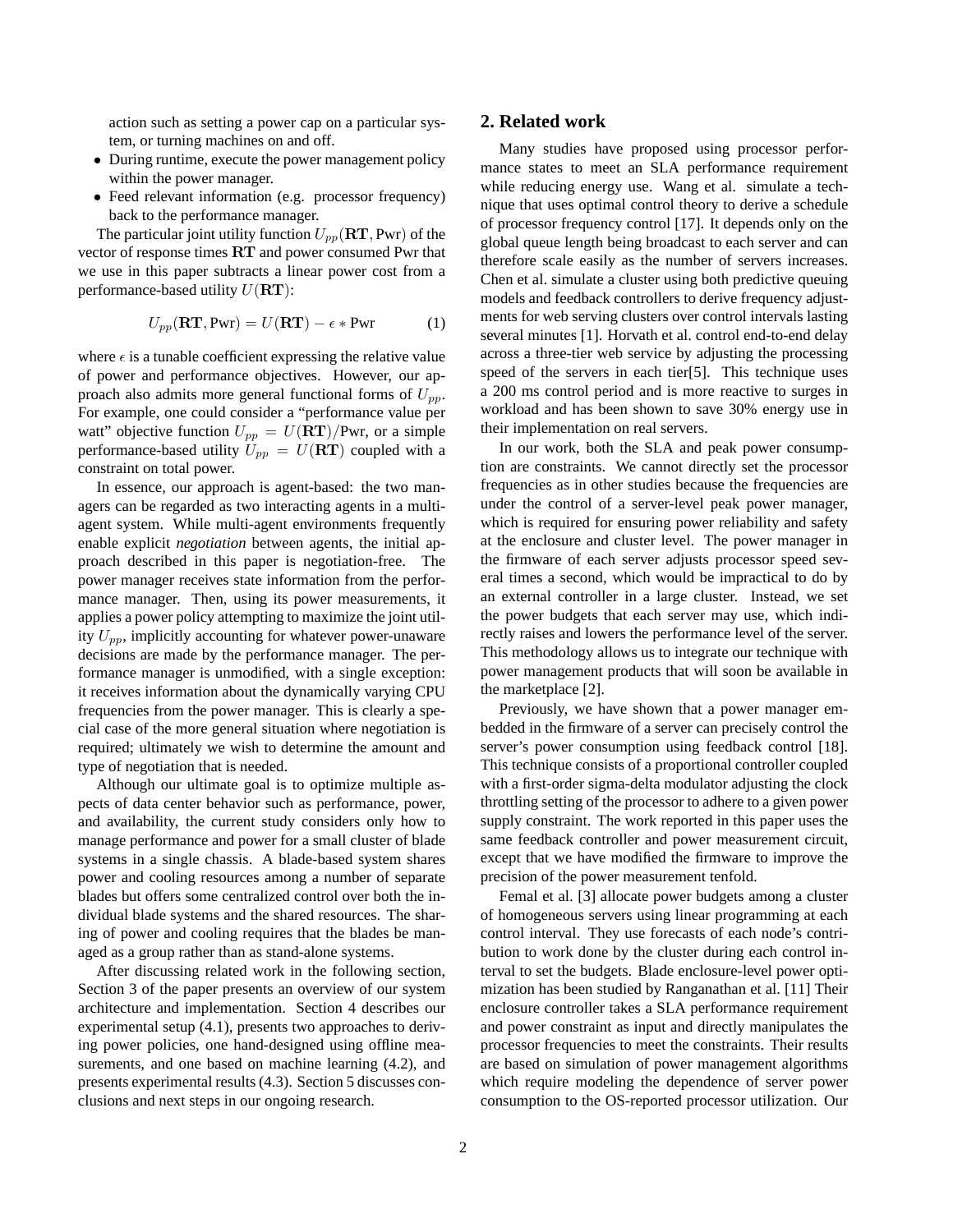action such as setting a power cap on a particular system, or turning machines on and off.

- During runtime, execute the power management policy within the power manager.
- Feed relevant information (e.g. processor frequency) back to the performance manager.

The particular joint utility function  $U_{pp}(\text{RT}, \text{Pwr})$  of the vector of response times RT and power consumed Pwr that we use in this paper subtracts a linear power cost from a performance-based utility  $U(\mathbf{RT})$ :

$$
U_{pp}(\mathbf{RT}, \mathbf{Pwr}) = U(\mathbf{RT}) - \epsilon * \mathbf{Pwr}
$$
 (1)

where  $\epsilon$  is a tunable coefficient expressing the relative value of power and performance objectives. However, our approach also admits more general functional forms of  $U_{nn}$ . For example, one could consider a "performance value per watt" objective function  $U_{pp} = U(\mathbf{RT})/\text{Pwr}$ , or a simple performance-based utility  $U_{pp} = U(RT)$  coupled with a constraint on total power.

In essence, our approach is agent-based: the two managers can be regarded as two interacting agents in a multiagent system. While multi-agent environments frequently enable explicit *negotiation* between agents, the initial approach described in this paper is negotiation-free. The power manager receives state information from the performance manager. Then, using its power measurements, it applies a power policy attempting to maximize the joint utility  $U_{nn}$ , implicitly accounting for whatever power-unaware decisions are made by the performance manager. The performance manager is unmodified, with a single exception: it receives information about the dynamically varying CPU frequencies from the power manager. This is clearly a special case of the more general situation where negotiation is required; ultimately we wish to determine the amount and type of negotiation that is needed.

Although our ultimate goal is to optimize multiple aspects of data center behavior such as performance, power, and availability, the current study considers only how to manage performance and power for a small cluster of blade systems in a single chassis. A blade-based system shares power and cooling resources among a number of separate blades but offers some centralized control over both the individual blade systems and the shared resources. The sharing of power and cooling requires that the blades be managed as a group rather than as stand-alone systems.

After discussing related work in the following section, Section 3 of the paper presents an overview of our system architecture and implementation. Section 4 describes our experimental setup (4.1), presents two approaches to deriving power policies, one hand-designed using offline measurements, and one based on machine learning (4.2), and presents experimental results (4.3). Section 5 discusses conclusions and next steps in our ongoing research.

## **2. Related work**

Many studies have proposed using processor performance states to meet an SLA performance requirement while reducing energy use. Wang et al. simulate a technique that uses optimal control theory to derive a schedule of processor frequency control [17]. It depends only on the global queue length being broadcast to each server and can therefore scale easily as the number of servers increases. Chen et al. simulate a cluster using both predictive queuing models and feedback controllers to derive frequency adjustments for web serving clusters over control intervals lasting several minutes [1]. Horvath et al. control end-to-end delay across a three-tier web service by adjusting the processing speed of the servers in each tier[5]. This technique uses a 200 ms control period and is more reactive to surges in workload and has been shown to save 30% energy use in their implementation on real servers.

In our work, both the SLA and peak power consumption are constraints. We cannot directly set the processor frequencies as in other studies because the frequencies are under the control of a server-level peak power manager, which is required for ensuring power reliability and safety at the enclosure and cluster level. The power manager in the firmware of each server adjusts processor speed several times a second, which would be impractical to do by an external controller in a large cluster. Instead, we set the power budgets that each server may use, which indirectly raises and lowers the performance level of the server. This methodology allows us to integrate our technique with power management products that will soon be available in the marketplace [2].

Previously, we have shown that a power manager embedded in the firmware of a server can precisely control the server's power consumption using feedback control [18]. This technique consists of a proportional controller coupled with a first-order sigma-delta modulator adjusting the clock throttling setting of the processor to adhere to a given power supply constraint. The work reported in this paper uses the same feedback controller and power measurement circuit, except that we have modified the firmware to improve the precision of the power measurement tenfold.

Femal et al. [3] allocate power budgets among a cluster of homogeneous servers using linear programming at each control interval. They use forecasts of each node's contribution to work done by the cluster during each control interval to set the budgets. Blade enclosure-level power optimization has been studied by Ranganathan et al. [11] Their enclosure controller takes a SLA performance requirement and power constraint as input and directly manipulates the processor frequencies to meet the constraints. Their results are based on simulation of power management algorithms which require modeling the dependence of server power consumption to the OS-reported processor utilization. Our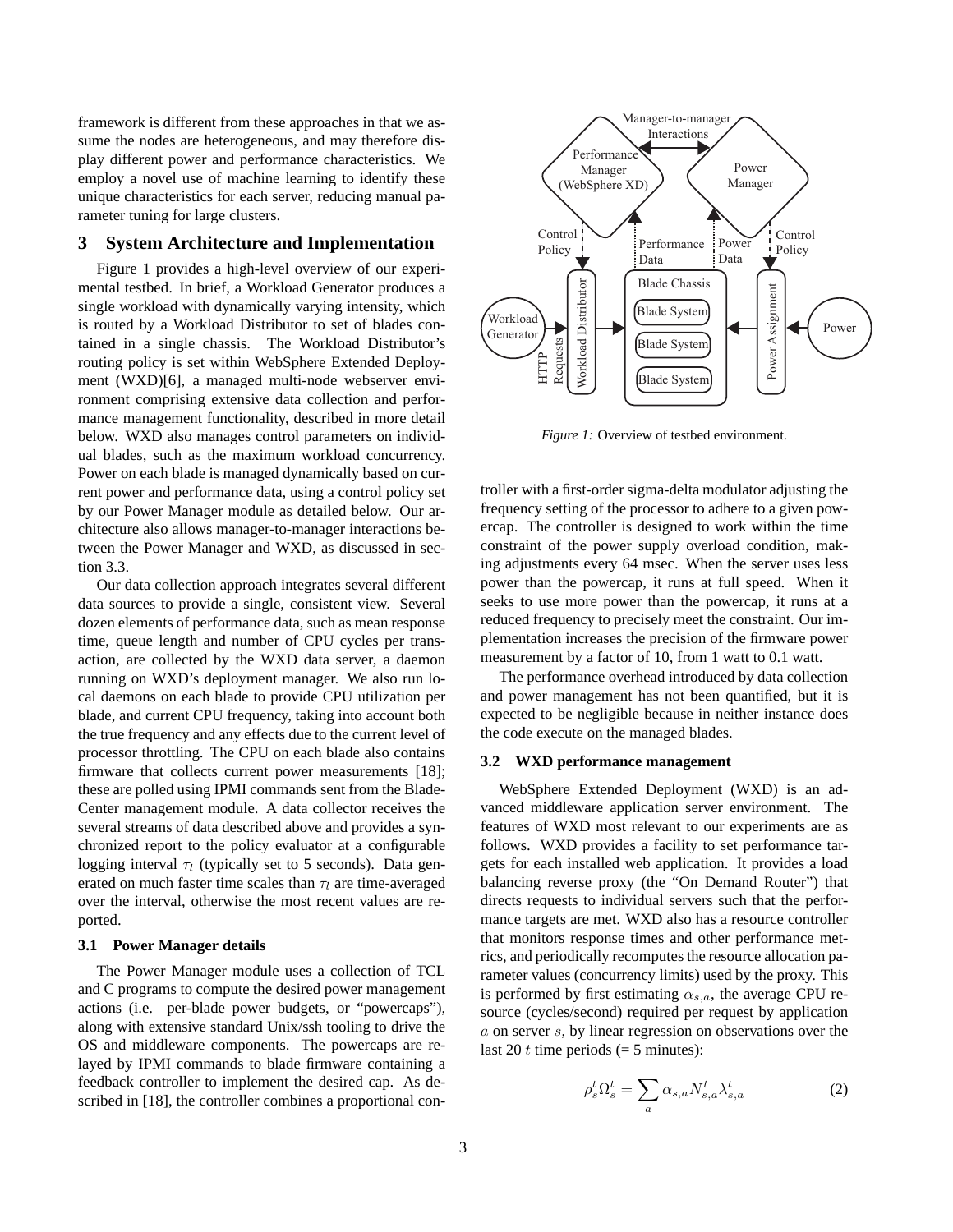framework is different from these approaches in that we assume the nodes are heterogeneous, and may therefore display different power and performance characteristics. We employ a novel use of machine learning to identify these unique characteristics for each server, reducing manual parameter tuning for large clusters.

## **3 System Architecture and Implementation**

Figure 1 provides a high-level overview of our experimental testbed. In brief, a Workload Generator produces a single workload with dynamically varying intensity, which is routed by a Workload Distributor to set of blades contained in a single chassis. The Workload Distributor's routing policy is set within WebSphere Extended Deployment (WXD)[6], a managed multi-node webserver environment comprising extensive data collection and performance management functionality, described in more detail below. WXD also manages control parameters on individual blades, such as the maximum workload concurrency. Power on each blade is managed dynamically based on current power and performance data, using a control policy set by our Power Manager module as detailed below. Our architecture also allows manager-to-manager interactions between the Power Manager and WXD, as discussed in section 3.3.

Our data collection approach integrates several different data sources to provide a single, consistent view. Several dozen elements of performance data, such as mean response time, queue length and number of CPU cycles per transaction, are collected by the WXD data server, a daemon running on WXD's deployment manager. We also run local daemons on each blade to provide CPU utilization per blade, and current CPU frequency, taking into account both the true frequency and any effects due to the current level of processor throttling. The CPU on each blade also contains firmware that collects current power measurements [18]; these are polled using IPMI commands sent from the Blade-Center management module. A data collector receives the several streams of data described above and provides a synchronized report to the policy evaluator at a configurable logging interval  $\tau_l$  (typically set to 5 seconds). Data generated on much faster time scales than  $\tau_l$  are time-averaged over the interval, otherwise the most recent values are reported.

#### **3.1 Power Manager details**

The Power Manager module uses a collection of TCL and C programs to compute the desired power management actions (i.e. per-blade power budgets, or "powercaps"), along with extensive standard Unix/ssh tooling to drive the OS and middleware components. The powercaps are relayed by IPMI commands to blade firmware containing a feedback controller to implement the desired cap. As described in [18], the controller combines a proportional con-



*Figure 1:* Overview of testbed environment.

troller with a first-order sigma-delta modulator adjusting the frequency setting of the processor to adhere to a given powercap. The controller is designed to work within the time constraint of the power supply overload condition, making adjustments every 64 msec. When the server uses less power than the powercap, it runs at full speed. When it seeks to use more power than the powercap, it runs at a reduced frequency to precisely meet the constraint. Our implementation increases the precision of the firmware power measurement by a factor of 10, from 1 watt to 0.1 watt.

The performance overhead introduced by data collection and power management has not been quantified, but it is expected to be negligible because in neither instance does the code execute on the managed blades.

#### **3.2 WXD performance management**

WebSphere Extended Deployment (WXD) is an advanced middleware application server environment. The features of WXD most relevant to our experiments are as follows. WXD provides a facility to set performance targets for each installed web application. It provides a load balancing reverse proxy (the "On Demand Router") that directs requests to individual servers such that the performance targets are met. WXD also has a resource controller that monitors response times and other performance metrics, and periodically recomputes the resource allocation parameter values (concurrency limits) used by the proxy. This is performed by first estimating  $\alpha_{s,a}$ , the average CPU resource (cycles/second) required per request by application a on server s, by linear regression on observations over the last 20 t time periods  $(= 5 \text{ minutes})$ :

$$
\rho_s^t \Omega_s^t = \sum_a \alpha_{s,a} N_{s,a}^t \lambda_{s,a}^t \tag{2}
$$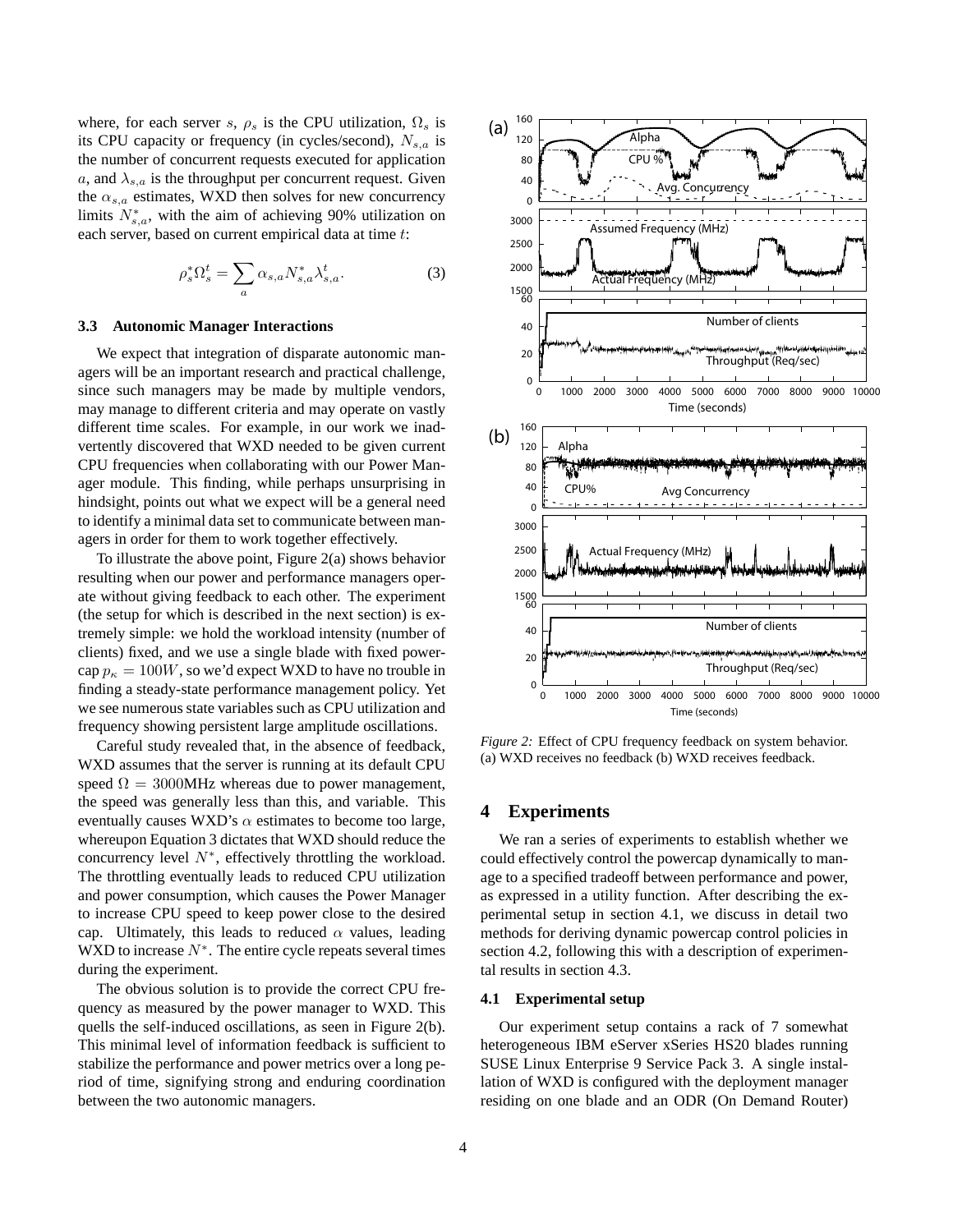where, for each server s,  $\rho_s$  is the CPU utilization,  $\Omega_s$  is its CPU capacity or frequency (in cycles/second),  $N_{s,a}$  is the number of concurrent requests executed for application a, and  $\lambda_{s,a}$  is the throughput per concurrent request. Given the  $\alpha_{s,a}$  estimates, WXD then solves for new concurrency limits  $N_{s,a}^*$ , with the aim of achieving 90% utilization on each server, based on current empirical data at time t:

$$
\rho_s^* \Omega_s^t = \sum_a \alpha_{s,a} N_{s,a}^* \lambda_{s,a}^t. \tag{3}
$$

#### **3.3 Autonomic Manager Interactions**

We expect that integration of disparate autonomic managers will be an important research and practical challenge, since such managers may be made by multiple vendors, may manage to different criteria and may operate on vastly different time scales. For example, in our work we inadvertently discovered that WXD needed to be given current CPU frequencies when collaborating with our Power Manager module. This finding, while perhaps unsurprising in hindsight, points out what we expect will be a general need to identify a minimal data set to communicate between managers in order for them to work together effectively.

To illustrate the above point, Figure 2(a) shows behavior resulting when our power and performance managers operate without giving feedback to each other. The experiment (the setup for which is described in the next section) is extremely simple: we hold the workload intensity (number of clients) fixed, and we use a single blade with fixed powercap  $p_{\kappa} = 100W$ , so we'd expect WXD to have no trouble in finding a steady-state performance management policy. Yet we see numerous state variables such as CPU utilization and frequency showing persistent large amplitude oscillations.

Careful study revealed that, in the absence of feedback, WXD assumes that the server is running at its default CPU speed  $\Omega = 3000$ MHz whereas due to power management, the speed was generally less than this, and variable. This eventually causes WXD's  $\alpha$  estimates to become too large, whereupon Equation 3 dictates that WXD should reduce the concurrency level  $N^*$ , effectively throttling the workload. The throttling eventually leads to reduced CPU utilization and power consumption, which causes the Power Manager to increase CPU speed to keep power close to the desired cap. Ultimately, this leads to reduced  $\alpha$  values, leading WXD to increase  $N^*$ . The entire cycle repeats several times during the experiment.

The obvious solution is to provide the correct CPU frequency as measured by the power manager to WXD. This quells the self-induced oscillations, as seen in Figure 2(b). This minimal level of information feedback is sufficient to stabilize the performance and power metrics over a long period of time, signifying strong and enduring coordination between the two autonomic managers.



*Figure 2:* Effect of CPU frequency feedback on system behavior. (a) WXD receives no feedback (b) WXD receives feedback.

## **4 Experiments**

We ran a series of experiments to establish whether we could effectively control the powercap dynamically to manage to a specified tradeoff between performance and power, as expressed in a utility function. After describing the experimental setup in section 4.1, we discuss in detail two methods for deriving dynamic powercap control policies in section 4.2, following this with a description of experimental results in section 4.3.

#### **4.1 Experimental setup**

Our experiment setup contains a rack of 7 somewhat heterogeneous IBM eServer xSeries HS20 blades running SUSE Linux Enterprise 9 Service Pack 3. A single installation of WXD is configured with the deployment manager residing on one blade and an ODR (On Demand Router)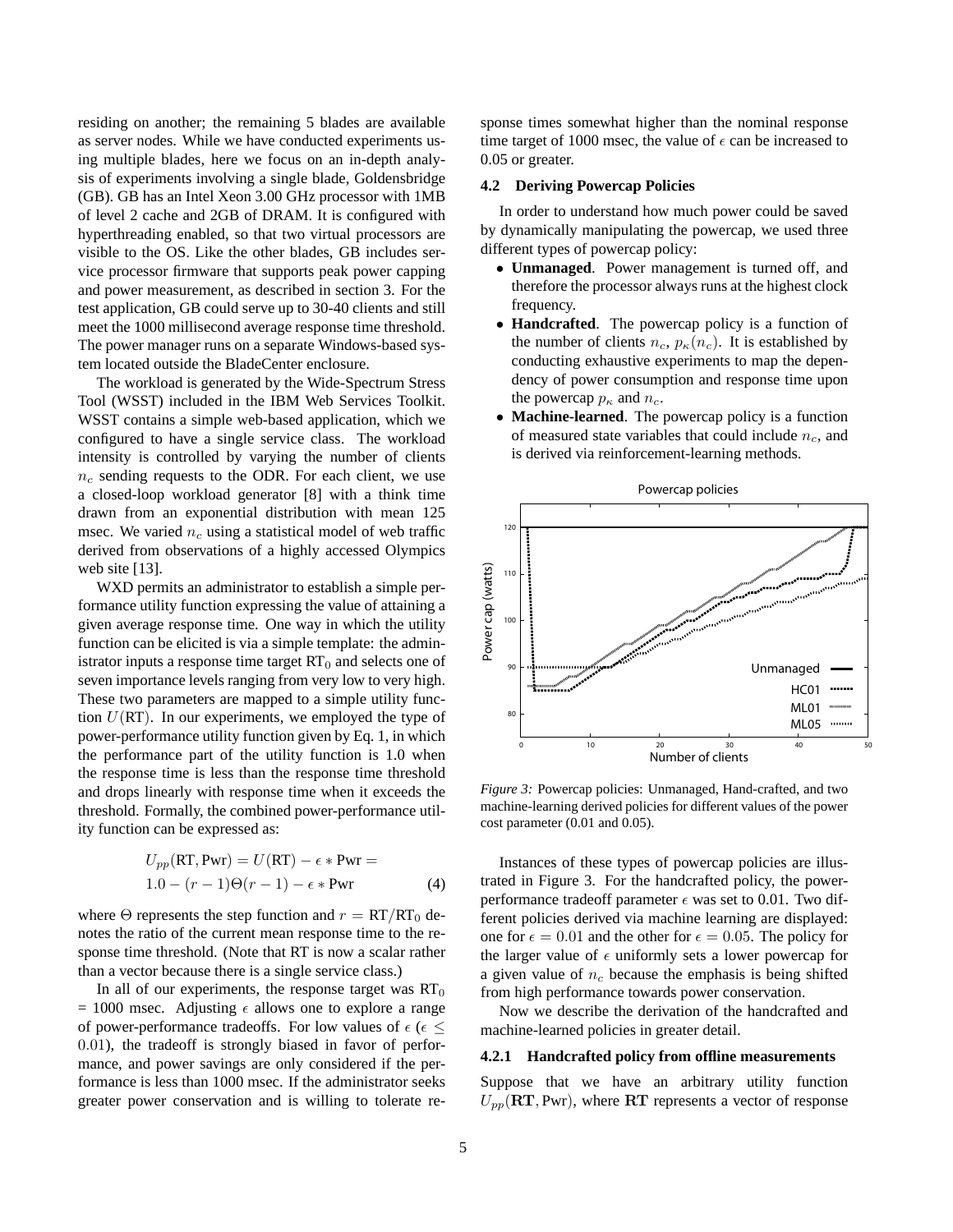residing on another; the remaining 5 blades are available as server nodes. While we have conducted experiments using multiple blades, here we focus on an in-depth analysis of experiments involving a single blade, Goldensbridge (GB). GB has an Intel Xeon 3.00 GHz processor with 1MB of level 2 cache and 2GB of DRAM. It is configured with hyperthreading enabled, so that two virtual processors are visible to the OS. Like the other blades, GB includes service processor firmware that supports peak power capping and power measurement, as described in section 3. For the test application, GB could serve up to 30-40 clients and still meet the 1000 millisecond average response time threshold. The power manager runs on a separate Windows-based system located outside the BladeCenter enclosure.

The workload is generated by the Wide-Spectrum Stress Tool (WSST) included in the IBM Web Services Toolkit. WSST contains a simple web-based application, which we configured to have a single service class. The workload intensity is controlled by varying the number of clients  $n_c$  sending requests to the ODR. For each client, we use a closed-loop workload generator [8] with a think time drawn from an exponential distribution with mean 125 msec. We varied  $n_c$  using a statistical model of web traffic derived from observations of a highly accessed Olympics web site [13].

WXD permits an administrator to establish a simple performance utility function expressing the value of attaining a given average response time. One way in which the utility function can be elicited is via a simple template: the administrator inputs a response time target  $RT_0$  and selects one of seven importance levels ranging from very low to very high. These two parameters are mapped to a simple utility function  $U(RT)$ . In our experiments, we employed the type of power-performance utility function given by Eq. 1, in which the performance part of the utility function is 1.0 when the response time is less than the response time threshold and drops linearly with response time when it exceeds the threshold. Formally, the combined power-performance utility function can be expressed as:

$$
U_{pp}(\text{RT}, \text{Pwr}) = U(\text{RT}) - \epsilon * \text{Pwr} =
$$
  
1.0 - (r - 1)\Theta(r - 1) - \epsilon \* \text{Pwr} \t(4)

where  $\Theta$  represents the step function and  $r = RT/RT_0$  denotes the ratio of the current mean response time to the response time threshold. (Note that RT is now a scalar rather than a vector because there is a single service class.)

In all of our experiments, the response target was  $RT_0$  $= 1000$  msec. Adjusting  $\epsilon$  allows one to explore a range of power-performance tradeoffs. For low values of  $\epsilon$  ( $\epsilon \leq$ 0.01), the tradeoff is strongly biased in favor of performance, and power savings are only considered if the performance is less than 1000 msec. If the administrator seeks greater power conservation and is willing to tolerate response times somewhat higher than the nominal response time target of 1000 msec, the value of  $\epsilon$  can be increased to 0.05 or greater.

#### **4.2 Deriving Powercap Policies**

In order to understand how much power could be saved by dynamically manipulating the powercap, we used three different types of powercap policy:

- **Unmanaged**. Power management is turned off, and therefore the processor always runs at the highest clock frequency.
- **Handcrafted**. The powercap policy is a function of the number of clients  $n_c$ ,  $p_{\kappa}(n_c)$ . It is established by conducting exhaustive experiments to map the dependency of power consumption and response time upon the powercap  $p_{\kappa}$  and  $n_c$ .
- **Machine-learned**. The powercap policy is a function of measured state variables that could include  $n_c$ , and is derived via reinforcement-learning methods.



*Figure 3:* Powercap policies: Unmanaged, Hand-crafted, and two machine-learning derived policies for different values of the power cost parameter (0.01 and 0.05).

Instances of these types of powercap policies are illustrated in Figure 3. For the handcrafted policy, the powerperformance tradeoff parameter  $\epsilon$  was set to 0.01. Two different policies derived via machine learning are displayed: one for  $\epsilon = 0.01$  and the other for  $\epsilon = 0.05$ . The policy for the larger value of  $\epsilon$  uniformly sets a lower powercap for a given value of  $n_c$  because the emphasis is being shifted from high performance towards power conservation.

Now we describe the derivation of the handcrafted and machine-learned policies in greater detail.

#### **4.2.1 Handcrafted policy from offline measurements**

Suppose that we have an arbitrary utility function  $U_{pp}(\text{RT}, \text{Pwr})$ , where  $\text{RT}$  represents a vector of response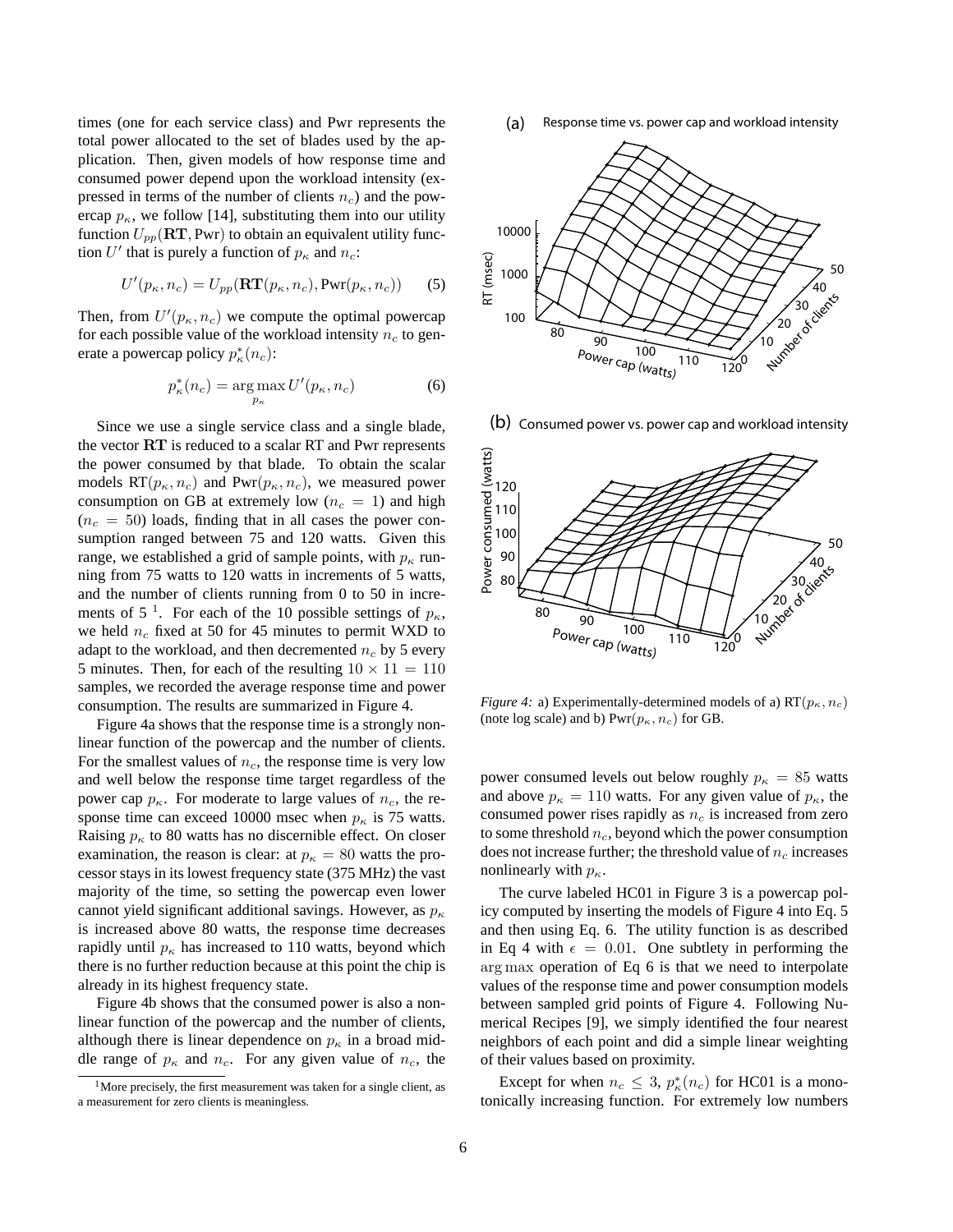times (one for each service class) and Pwr represents the total power allocated to the set of blades used by the application. Then, given models of how response time and consumed power depend upon the workload intensity (expressed in terms of the number of clients  $n_c$ ) and the powercap  $p_{\kappa}$ , we follow [14], substituting them into our utility function  $U_{pp}(\text{RT}, \text{Pwr})$  to obtain an equivalent utility function U' that is purely a function of  $p_{\kappa}$  and  $n_c$ :

$$
U'(p_{\kappa}, n_c) = U_{pp}(\mathbf{RT}(p_{\kappa}, n_c), \mathbf{Pwr}(p_{\kappa}, n_c))
$$
 (5)

Then, from  $U'(p_{\kappa}, n_c)$  we compute the optimal powercap for each possible value of the workload intensity  $n_c$  to generate a powercap policy  $p_{\kappa}^*(n_c)$ :

$$
p_{\kappa}^*(n_c) = \underset{p_{\kappa}}{\arg \max} U'(p_{\kappa}, n_c)
$$
 (6)

Since we use a single service class and a single blade, the vector RT is reduced to a scalar RT and Pwr represents the power consumed by that blade. To obtain the scalar models  $RT(p_{\kappa}, n_c)$  and  $Pwr(p_{\kappa}, n_c)$ , we measured power consumption on GB at extremely low ( $n_c = 1$ ) and high  $(n_c = 50)$  loads, finding that in all cases the power consumption ranged between 75 and 120 watts. Given this range, we established a grid of sample points, with  $p_{\kappa}$  running from 75 watts to 120 watts in increments of 5 watts, and the number of clients running from 0 to 50 in increments of 5<sup>1</sup>. For each of the 10 possible settings of  $p_{\kappa}$ , we held  $n_c$  fixed at 50 for 45 minutes to permit WXD to adapt to the workload, and then decremented  $n_c$  by 5 every 5 minutes. Then, for each of the resulting  $10 \times 11 = 110$ samples, we recorded the average response time and power consumption. The results are summarized in Figure 4.

Figure 4a shows that the response time is a strongly nonlinear function of the powercap and the number of clients. For the smallest values of  $n_c$ , the response time is very low and well below the response time target regardless of the power cap  $p_{\kappa}$ . For moderate to large values of  $n_c$ , the response time can exceed 10000 msec when  $p_{\kappa}$  is 75 watts. Raising  $p_{\kappa}$  to 80 watts has no discernible effect. On closer examination, the reason is clear: at  $p_{\kappa} = 80$  watts the processor stays in its lowest frequency state (375 MHz) the vast majority of the time, so setting the powercap even lower cannot yield significant additional savings. However, as  $p_{\kappa}$ is increased above 80 watts, the response time decreases rapidly until  $p_{\kappa}$  has increased to 110 watts, beyond which there is no further reduction because at this point the chip is already in its highest frequency state.

Figure 4b shows that the consumed power is also a nonlinear function of the powercap and the number of clients, although there is linear dependence on  $p_{\kappa}$  in a broad middle range of  $p_{\kappa}$  and  $n_c$ . For any given value of  $n_c$ , the

Response time vs. power cap and workload intensity (a)



(b) Consumed power vs. power cap and workload intensity



*Figure 4:* a) Experimentally-determined models of a)  $RT(p_{\kappa}, n_c)$ (note log scale) and b)  $Pwr(p_{\kappa}, n_c)$  for GB.

power consumed levels out below roughly  $p_{\kappa} = 85$  watts and above  $p_{\kappa} = 110$  watts. For any given value of  $p_{\kappa}$ , the consumed power rises rapidly as  $n_c$  is increased from zero to some threshold  $n_c$ , beyond which the power consumption does not increase further; the threshold value of  $n_c$  increases nonlinearly with  $p_{\kappa}$ .

The curve labeled HC01 in Figure 3 is a powercap policy computed by inserting the models of Figure 4 into Eq. 5 and then using Eq. 6. The utility function is as described in Eq 4 with  $\epsilon = 0.01$ . One subtlety in performing the arg max operation of Eq 6 is that we need to interpolate values of the response time and power consumption models between sampled grid points of Figure 4. Following Numerical Recipes [9], we simply identified the four nearest neighbors of each point and did a simple linear weighting of their values based on proximity.

Except for when  $n_c \leq 3$ ,  $p_{\kappa}^*(n_c)$  for HC01 is a monotonically increasing function. For extremely low numbers

<sup>1</sup>More precisely, the first measurement was taken for a single client, as a measurement for zero clients is meaningless.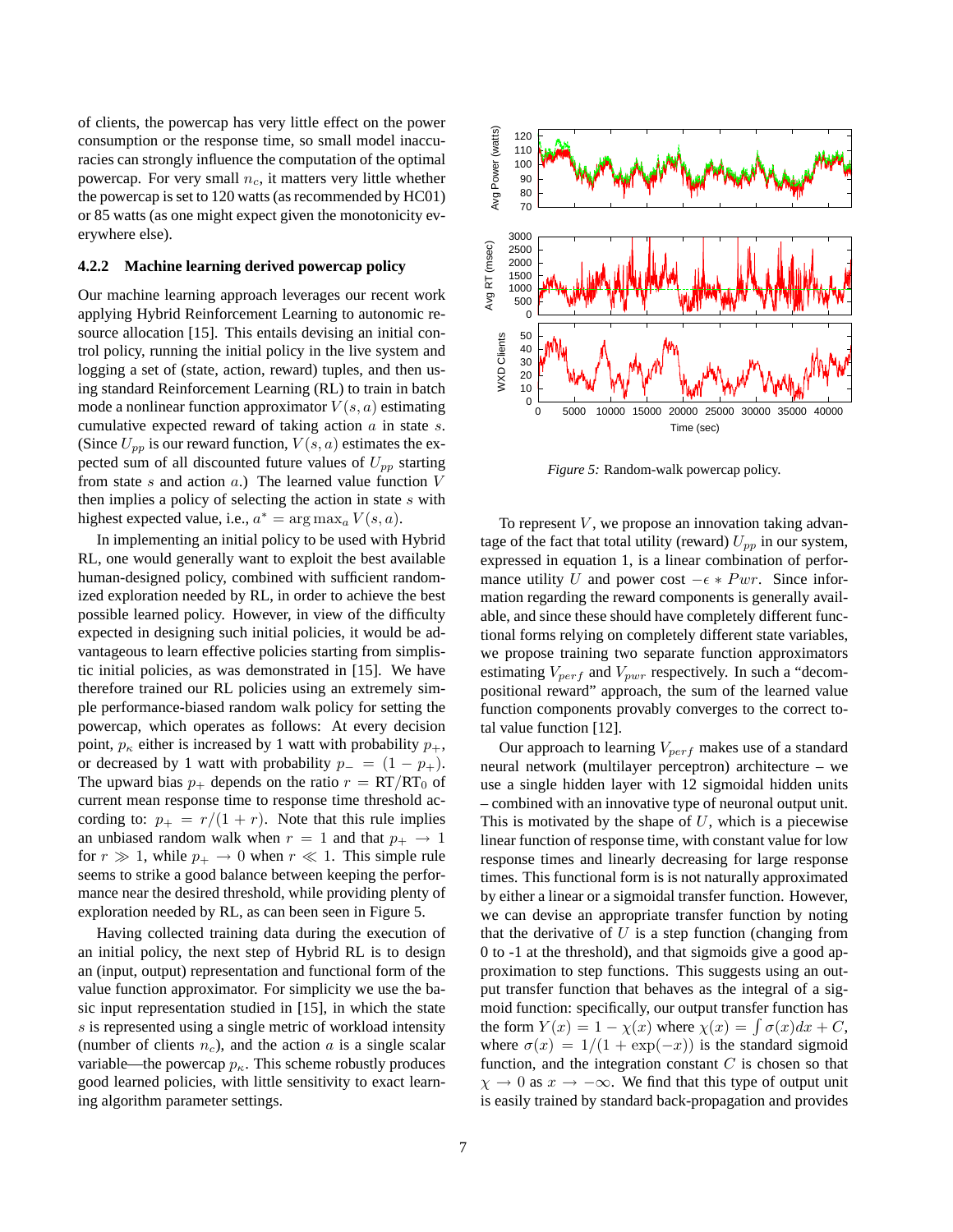of clients, the powercap has very little effect on the power consumption or the response time, so small model inaccuracies can strongly influence the computation of the optimal powercap. For very small  $n_c$ , it matters very little whether the powercap is set to 120 watts (as recommended by HC01) or 85 watts (as one might expect given the monotonicity everywhere else).

#### **4.2.2 Machine learning derived powercap policy**

Our machine learning approach leverages our recent work applying Hybrid Reinforcement Learning to autonomic resource allocation [15]. This entails devising an initial control policy, running the initial policy in the live system and logging a set of (state, action, reward) tuples, and then using standard Reinforcement Learning (RL) to train in batch mode a nonlinear function approximator  $V(s, a)$  estimating cumulative expected reward of taking action  $a$  in state  $s$ . (Since  $U_{pp}$  is our reward function,  $V(s, a)$  estimates the expected sum of all discounted future values of  $U_{pp}$  starting from state  $s$  and action  $a$ .) The learned value function  $V$ then implies a policy of selecting the action in state s with highest expected value, i.e.,  $a^* = \arg \max_a V(s, a)$ .

In implementing an initial policy to be used with Hybrid RL, one would generally want to exploit the best available human-designed policy, combined with sufficient randomized exploration needed by RL, in order to achieve the best possible learned policy. However, in view of the difficulty expected in designing such initial policies, it would be advantageous to learn effective policies starting from simplistic initial policies, as was demonstrated in [15]. We have therefore trained our RL policies using an extremely simple performance-biased random walk policy for setting the powercap, which operates as follows: At every decision point,  $p_{\kappa}$  either is increased by 1 watt with probability  $p_{+}$ , or decreased by 1 watt with probability  $p_ - = (1 - p_+).$ The upward bias  $p_+$  depends on the ratio  $r = RT/RT_0$  of current mean response time to response time threshold according to:  $p_{+} = r/(1 + r)$ . Note that this rule implies an unbiased random walk when  $r = 1$  and that  $p_+ \rightarrow 1$ for  $r \gg 1$ , while  $p_{+} \rightarrow 0$  when  $r \ll 1$ . This simple rule seems to strike a good balance between keeping the performance near the desired threshold, while providing plenty of exploration needed by RL, as can been seen in Figure 5.

Having collected training data during the execution of an initial policy, the next step of Hybrid RL is to design an (input, output) representation and functional form of the value function approximator. For simplicity we use the basic input representation studied in [15], in which the state s is represented using a single metric of workload intensity (number of clients  $n_c$ ), and the action a is a single scalar variable—the powercap  $p_{\kappa}$ . This scheme robustly produces good learned policies, with little sensitivity to exact learning algorithm parameter settings.



*Figure 5:* Random-walk powercap policy.

To represent  $V$ , we propose an innovation taking advantage of the fact that total utility (reward)  $U_{pp}$  in our system, expressed in equation 1, is a linear combination of performance utility U and power cost  $-\epsilon * P \cdot w$ . Since information regarding the reward components is generally available, and since these should have completely different functional forms relying on completely different state variables, we propose training two separate function approximators estimating  $V_{perf}$  and  $V_{pwr}$  respectively. In such a "decompositional reward" approach, the sum of the learned value function components provably converges to the correct total value function [12].

Our approach to learning  $V_{perf}$  makes use of a standard neural network (multilayer perceptron) architecture – we use a single hidden layer with 12 sigmoidal hidden units – combined with an innovative type of neuronal output unit. This is motivated by the shape of  $U$ , which is a piecewise linear function of response time, with constant value for low response times and linearly decreasing for large response times. This functional form is is not naturally approximated by either a linear or a sigmoidal transfer function. However, we can devise an appropriate transfer function by noting that the derivative of  $U$  is a step function (changing from 0 to -1 at the threshold), and that sigmoids give a good approximation to step functions. This suggests using an output transfer function that behaves as the integral of a sigmoid function: specifically, our output transfer function has the form  $Y(x) = 1 - \chi(x)$  where  $\chi(x) = \int \sigma(x)dx + C$ , where  $\sigma(x) = 1/(1 + \exp(-x))$  is the standard sigmoid function, and the integration constant  $C$  is chosen so that  $\chi \to 0$  as  $x \to -\infty$ . We find that this type of output unit is easily trained by standard back-propagation and provides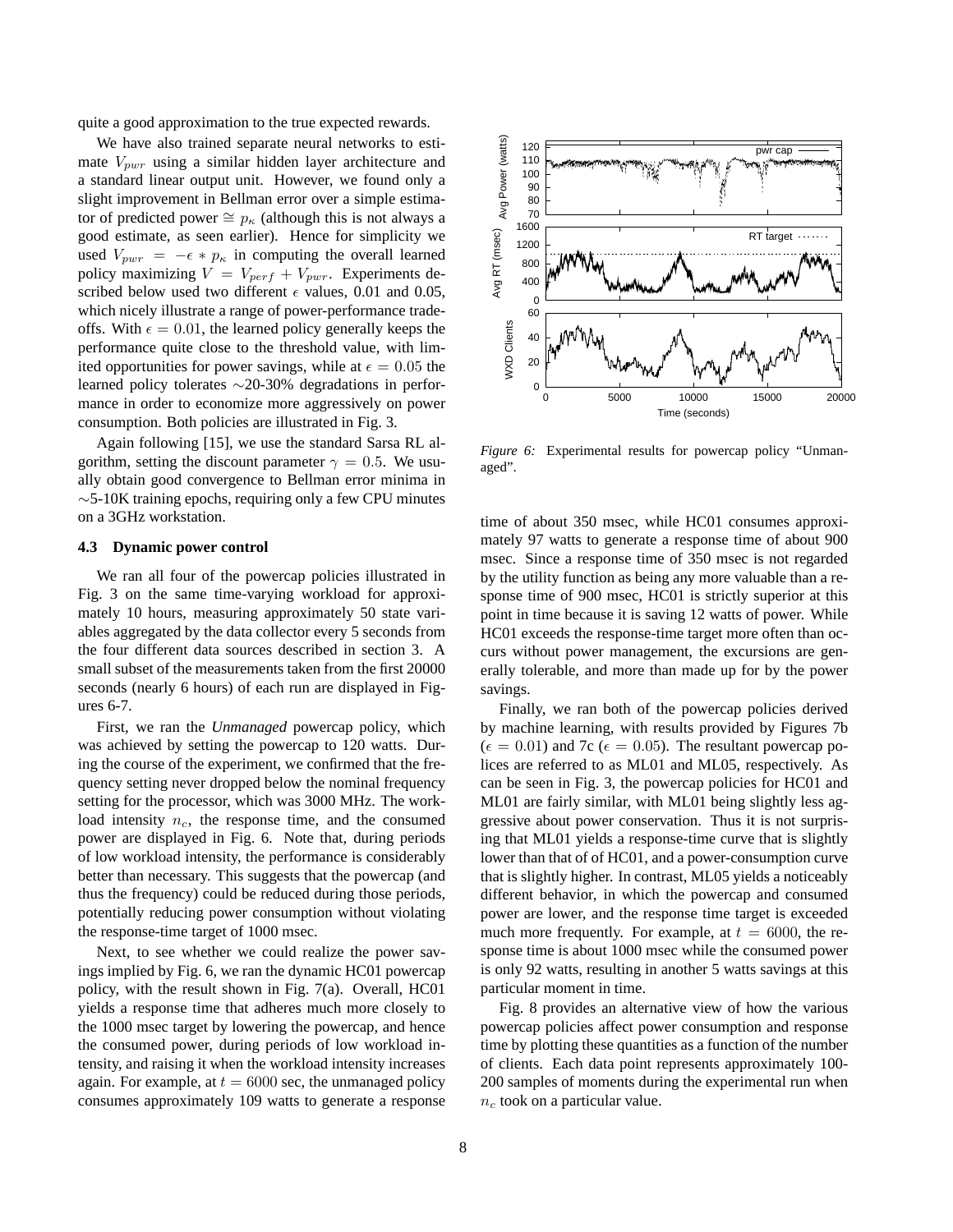quite a good approximation to the true expected rewards.

We have also trained separate neural networks to estimate  $V_{pur}$  using a similar hidden layer architecture and a standard linear output unit. However, we found only a slight improvement in Bellman error over a simple estimator of predicted power  $\cong p_{\kappa}$  (although this is not always a good estimate, as seen earlier). Hence for simplicity we used  $V_{pwr} = -\epsilon * p_{\kappa}$  in computing the overall learned policy maximizing  $V = V_{perf} + V_{pur}$ . Experiments described below used two different  $\epsilon$  values, 0.01 and 0.05, which nicely illustrate a range of power-performance tradeoffs. With  $\epsilon = 0.01$ , the learned policy generally keeps the performance quite close to the threshold value, with limited opportunities for power savings, while at  $\epsilon = 0.05$  the learned policy tolerates ∼20-30% degradations in performance in order to economize more aggressively on power consumption. Both policies are illustrated in Fig. 3.

Again following [15], we use the standard Sarsa RL algorithm, setting the discount parameter  $\gamma = 0.5$ . We usually obtain good convergence to Bellman error minima in ∼5-10K training epochs, requiring only a few CPU minutes on a 3GHz workstation.

#### **4.3 Dynamic power control**

We ran all four of the powercap policies illustrated in Fig. 3 on the same time-varying workload for approximately 10 hours, measuring approximately 50 state variables aggregated by the data collector every 5 seconds from the four different data sources described in section 3. A small subset of the measurements taken from the first 20000 seconds (nearly 6 hours) of each run are displayed in Figures 6-7.

First, we ran the *Unmanaged* powercap policy, which was achieved by setting the powercap to 120 watts. During the course of the experiment, we confirmed that the frequency setting never dropped below the nominal frequency setting for the processor, which was 3000 MHz. The workload intensity  $n_c$ , the response time, and the consumed power are displayed in Fig. 6. Note that, during periods of low workload intensity, the performance is considerably better than necessary. This suggests that the powercap (and thus the frequency) could be reduced during those periods, potentially reducing power consumption without violating the response-time target of 1000 msec.

Next, to see whether we could realize the power savings implied by Fig. 6, we ran the dynamic HC01 powercap policy, with the result shown in Fig. 7(a). Overall, HC01 yields a response time that adheres much more closely to the 1000 msec target by lowering the powercap, and hence the consumed power, during periods of low workload intensity, and raising it when the workload intensity increases again. For example, at  $t = 6000$  sec, the unmanaged policy consumes approximately 109 watts to generate a response



*Figure 6:* Experimental results for powercap policy "Unmanaged".

time of about 350 msec, while HC01 consumes approximately 97 watts to generate a response time of about 900 msec. Since a response time of 350 msec is not regarded by the utility function as being any more valuable than a response time of 900 msec, HC01 is strictly superior at this point in time because it is saving 12 watts of power. While HC01 exceeds the response-time target more often than occurs without power management, the excursions are generally tolerable, and more than made up for by the power savings.

Finally, we ran both of the powercap policies derived by machine learning, with results provided by Figures 7b  $(\epsilon = 0.01)$  and 7c ( $\epsilon = 0.05$ ). The resultant powercap polices are referred to as ML01 and ML05, respectively. As can be seen in Fig. 3, the powercap policies for HC01 and ML01 are fairly similar, with ML01 being slightly less aggressive about power conservation. Thus it is not surprising that ML01 yields a response-time curve that is slightly lower than that of of HC01, and a power-consumption curve that is slightly higher. In contrast, ML05 yields a noticeably different behavior, in which the powercap and consumed power are lower, and the response time target is exceeded much more frequently. For example, at  $t = 6000$ , the response time is about 1000 msec while the consumed power is only 92 watts, resulting in another 5 watts savings at this particular moment in time.

Fig. 8 provides an alternative view of how the various powercap policies affect power consumption and response time by plotting these quantities as a function of the number of clients. Each data point represents approximately 100- 200 samples of moments during the experimental run when  $n_c$  took on a particular value.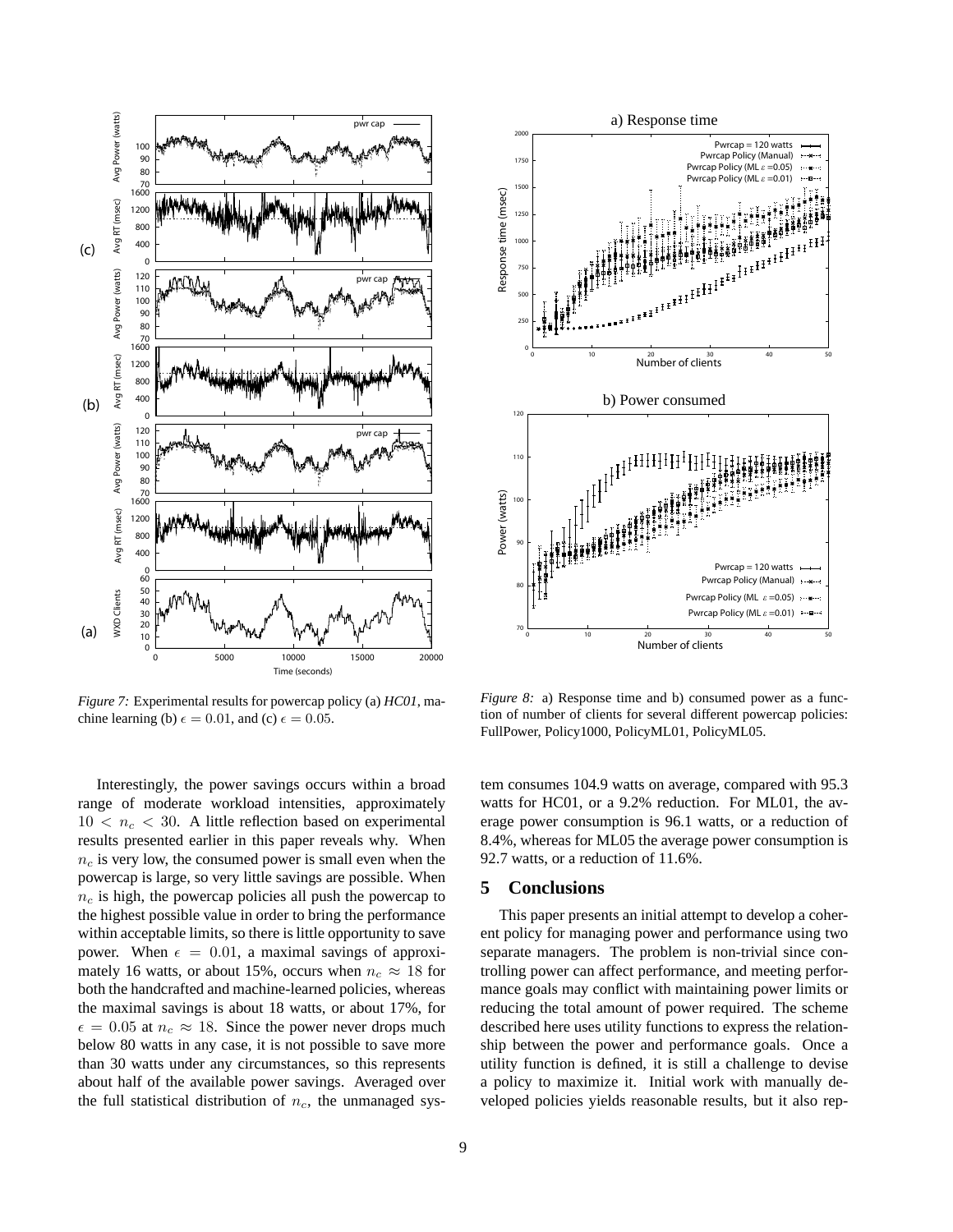

*Figure 7:* Experimental results for powercap policy (a) *HC01*, machine learning (b)  $\epsilon = 0.01$ , and (c)  $\epsilon = 0.05$ .

Interestingly, the power savings occurs within a broad range of moderate workload intensities, approximately  $10 < n_c < 30$ . A little reflection based on experimental results presented earlier in this paper reveals why. When  $n_c$  is very low, the consumed power is small even when the powercap is large, so very little savings are possible. When  $n_c$  is high, the powercap policies all push the powercap to the highest possible value in order to bring the performance within acceptable limits, so there is little opportunity to save power. When  $\epsilon = 0.01$ , a maximal savings of approximately 16 watts, or about 15%, occurs when  $n_c \approx 18$  for both the handcrafted and machine-learned policies, whereas the maximal savings is about 18 watts, or about 17%, for  $\epsilon = 0.05$  at  $n_c \approx 18$ . Since the power never drops much below 80 watts in any case, it is not possible to save more than 30 watts under any circumstances, so this represents about half of the available power savings. Averaged over the full statistical distribution of  $n_c$ , the unmanaged sys-



*Figure 8:* a) Response time and b) consumed power as a function of number of clients for several different powercap policies: FullPower, Policy1000, PolicyML01, PolicyML05.

tem consumes 104.9 watts on average, compared with 95.3 watts for HC01, or a 9.2% reduction. For ML01, the average power consumption is 96.1 watts, or a reduction of 8.4%, whereas for ML05 the average power consumption is 92.7 watts, or a reduction of 11.6%.

## **5 Conclusions**

This paper presents an initial attempt to develop a coherent policy for managing power and performance using two separate managers. The problem is non-trivial since controlling power can affect performance, and meeting performance goals may conflict with maintaining power limits or reducing the total amount of power required. The scheme described here uses utility functions to express the relationship between the power and performance goals. Once a utility function is defined, it is still a challenge to devise a policy to maximize it. Initial work with manually developed policies yields reasonable results, but it also rep